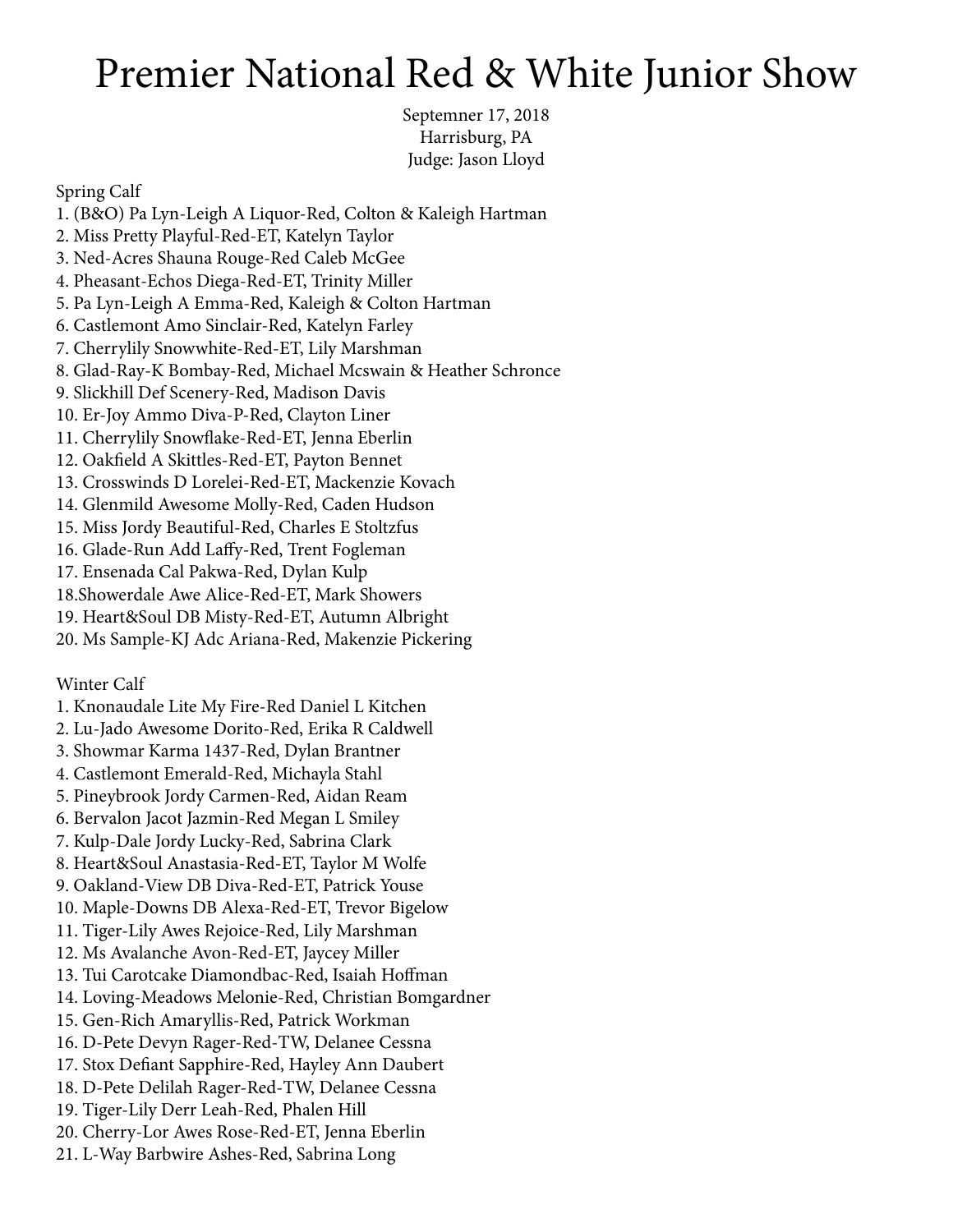# Premier National Red & White Junior Show

Septemner 17, 2018 Harrisburg, PA Judge: Jason Lloyd

Spring Calf

1. (B&O) Pa Lyn-Leigh A Liquor-Red, Colton & Kaleigh Hartman 2. Miss Pretty Playful-Red-ET, Katelyn Taylor 3. Ned-Acres Shauna Rouge-Red Caleb McGee 4. Pheasant-Echos Diega-Red-ET, Trinity Miller 5. Pa Lyn-Leigh A Emma-Red, Kaleigh & Colton Hartman 6. Castlemont Amo Sinclair-Red, Katelyn Farley 7. Cherrylily Snowwhite-Red-ET, Lily Marshman 8. Glad-Ray-K Bombay-Red, Michael Mcswain & Heather Schronce 9. Slickhill Def Scenery-Red, Madison Davis 10. Er-Joy Ammo Diva-P-Red, Clayton Liner 11. Cherrylily Snowflake-Red-ET, Jenna Eberlin 12. Oakfield A Skittles-Red-ET, Payton Bennet 13. Crosswinds D Lorelei-Red-ET, Mackenzie Kovach 14. Glenmild Awesome Molly-Red, Caden Hudson 15. Miss Jordy Beautiful-Red, Charles E Stoltzfus 16. Glade-Run Add Laffy-Red, Trent Fogleman 17. Ensenada Cal Pakwa-Red, Dylan Kulp 18.Showerdale Awe Alice-Red-ET, Mark Showers 19. Heart&Soul DB Misty-Red-ET, Autumn Albright 20. Ms Sample-KJ Adc Ariana-Red, Makenzie Pickering Winter Calf 1. Knonaudale Lite My Fire-Red Daniel L Kitchen 2. Lu-Jado Awesome Dorito-Red, Erika R Caldwell 3. Showmar Karma 1437-Red, Dylan Brantner 4. Castlemont Emerald-Red, Michayla Stahl 5. Pineybrook Jordy Carmen-Red, Aidan Ream 6. Bervalon Jacot Jazmin-Red Megan L Smiley 7. Kulp-Dale Jordy Lucky-Red, Sabrina Clark 8. Heart&Soul Anastasia-Red-ET, Taylor M Wolfe 9. Oakland-View DB Diva-Red-ET, Patrick Youse 10. Maple-Downs DB Alexa-Red-ET, Trevor Bigelow 11. Tiger-Lily Awes Rejoice-Red, Lily Marshman 12. Ms Avalanche Avon-Red-ET, Jaycey Miller 13. Tui Carotcake Diamondbac-Red, Isaiah Hoffman 14. Loving-Meadows Melonie-Red, Christian Bomgardner 15. Gen-Rich Amaryllis-Red, Patrick Workman 16. D-Pete Devyn Rager-Red-TW, Delanee Cessna 17. Stox Defiant Sapphire-Red, Hayley Ann Daubert 18. D-Pete Delilah Rager-Red-TW, Delanee Cessna 19. Tiger-Lily Derr Leah-Red, Phalen Hill 20. Cherry-Lor Awes Rose-Red-ET, Jenna Eberlin

21. L-Way Barbwire Ashes-Red, Sabrina Long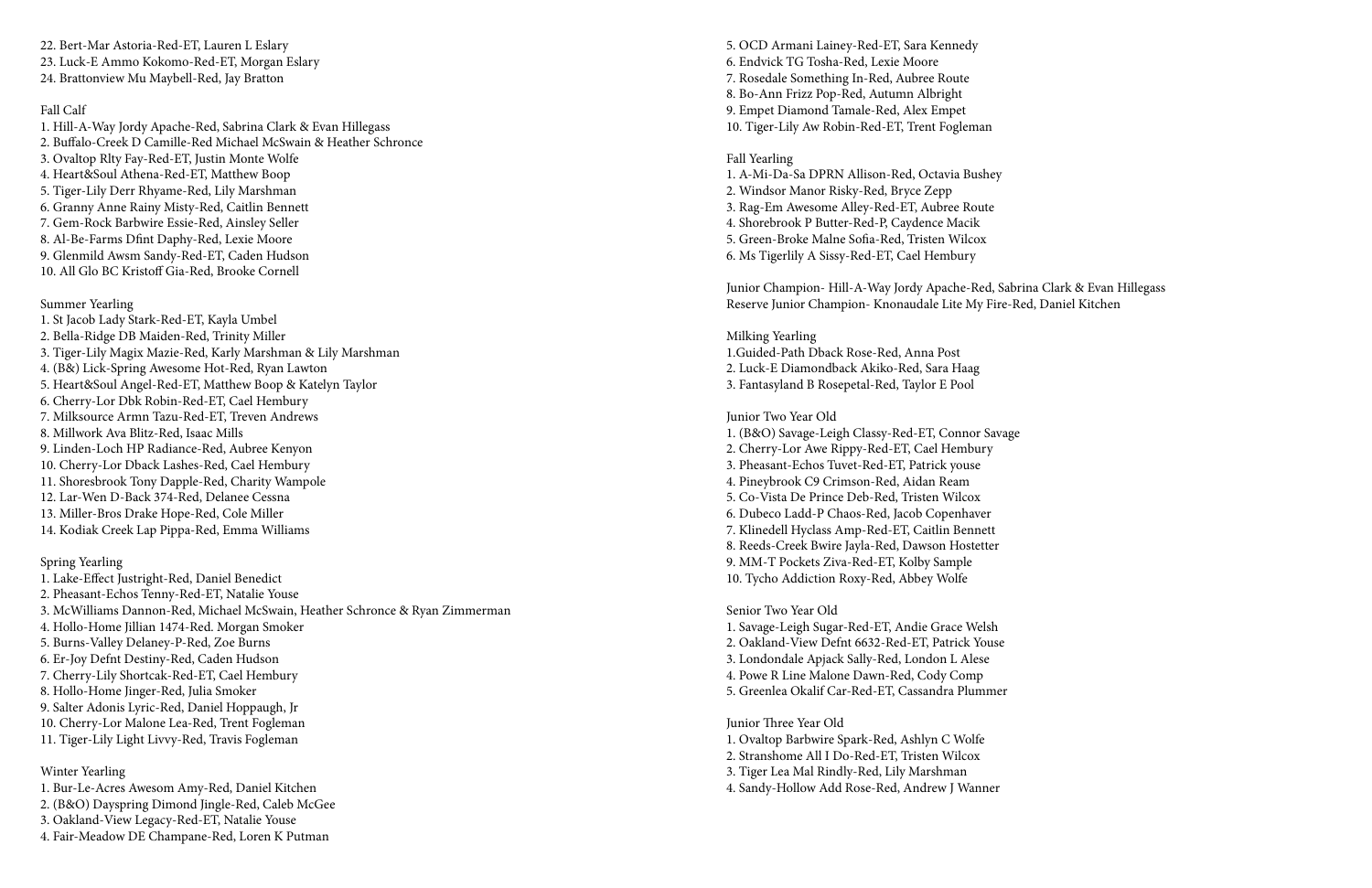22. Bert-Mar Astoria-Red-ET, Lauren L Eslary 23. Luck-E Ammo Kokomo-Red-ET, Morgan Eslary 24. Brattonview Mu Maybell-Red, Jay Bratton

# Fall Calf

1. Hill-A-Way Jordy Apache-Red, Sabrina Clark & Evan Hillegass 2. Buffalo-Creek D Camille-Red Michael McSwain & Heather Schronce 3. Ovaltop Rlty Fay-Red-ET, Justin Monte Wolfe 4. Heart&Soul Athena-Red-ET, Matthew Boop 5. Tiger-Lily Derr Rhyame-Red, Lily Marshman 6. Granny Anne Rainy Misty-Red, Caitlin Bennett 7. Gem-Rock Barbwire Essie-Red, Ainsley Seller 8. Al-Be-Farms Dfint Daphy-Red, Lexie Moore 9. Glenmild Awsm Sandy-Red-ET, Caden Hudson 10. All Glo BC Kristoff Gia-Red, Brooke Cornell

## Summer Yearling

1. St Jacob Lady Stark-Red-ET, Kayla Umbel 2. Bella-Ridge DB Maiden-Red, Trinity Miller 3. Tiger-Lily Magix Mazie-Red, Karly Marshman & Lily Marshman 4. (B&) Lick-Spring Awesome Hot-Red, Ryan Lawton 5. Heart&Soul Angel-Red-ET, Matthew Boop & Katelyn Taylor 6. Cherry-Lor Dbk Robin-Red-ET, Cael Hembury 7. Milksource Armn Tazu-Red-ET, Treven Andrews 8. Millwork Ava Blitz-Red, Isaac Mills 9. Linden-Loch HP Radiance-Red, Aubree Kenyon 10. Cherry-Lor Dback Lashes-Red, Cael Hembury 11. Shoresbrook Tony Dapple-Red, Charity Wampole 12. Lar-Wen D-Back 374-Red, Delanee Cessna 13. Miller-Bros Drake Hope-Red, Cole Miller 14. Kodiak Creek Lap Pippa-Red, Emma Williams

## Spring Yearling

1. Lake-Effect Justright-Red, Daniel Benedict 2. Pheasant-Echos Tenny-Red-ET, Natalie Youse 3. McWilliams Dannon-Red, Michael McSwain, Heather Schronce & Ryan Zimmerman 4. Hollo-Home Jillian 1474-Red. Morgan Smoker 5. Burns-Valley Delaney-P-Red, Zoe Burns 6. Er-Joy Defnt Destiny-Red, Caden Hudson 7. Cherry-Lily Shortcak-Red-ET, Cael Hembury 8. Hollo-Home Jinger-Red, Julia Smoker 9. Salter Adonis Lyric-Red, Daniel Hoppaugh, Jr 10. Cherry-Lor Malone Lea-Red, Trent Fogleman 11. Tiger-Lily Light Livvy-Red, Travis Fogleman

## Winter Yearling

1. Bur-Le-Acres Awesom Amy-Red, Daniel Kitchen

2. (B&O) Dayspring Dimond Jingle-Red, Caleb McGee

3. Oakland-View Legacy-Red-ET, Natalie Youse

4. Fair-Meadow DE Champane-Red, Loren K Putman

5. OCD Armani Lainey-Red-ET, Sara Kennedy 6. Endvick TG Tosha-Red, Lexie Moore 7. Rosedale Something In-Red, Aubree Route 8. Bo-Ann Frizz Pop-Red, Autumn Albright 9. Empet Diamond Tamale-Red, Alex Empet 10. Tiger-Lily Aw Robin-Red-ET, Trent Fogleman

#### Fall Yearling

1. A-Mi-Da-Sa DPRN Allison-Red, Octavia Bushey 2. Windsor Manor Risky-Red, Bryce Zepp 3. Rag-Em Awesome Alley-Red-ET, Aubree Route 4. Shorebrook P Butter-Red-P, Caydence Macik 5. Green-Broke Malne Sofia-Red, Tristen Wilcox 6. Ms Tigerlily A Sissy-Red-ET, Cael Hembury

Junior Champion- Hill-A-Way Jordy Apache-Red, Sabrina Clark & Evan Hillegass Reserve Junior Champion- Knonaudale Lite My Fire-Red, Daniel Kitchen

Milking Yearling 1.Guided-Path Dback Rose-Red, Anna Post 2. Luck-E Diamondback Akiko-Red, Sara Haag

3. Fantasyland B Rosepetal-Red, Taylor E Pool

#### Junior Two Year Old

1. (B&O) Savage-Leigh Classy-Red-ET, Connor Savage 2. Cherry-Lor Awe Rippy-Red-ET, Cael Hembury 3. Pheasant-Echos Tuvet-Red-ET, Patrick youse 4. Pineybrook C9 Crimson-Red, Aidan Ream 5. Co-Vista De Prince Deb-Red, Tristen Wilcox 6. Dubeco Ladd-P Chaos-Red, Jacob Copenhaver 7. Klinedell Hyclass Amp-Red-ET, Caitlin Bennett 8. Reeds-Creek Bwire Jayla-Red, Dawson Hostetter 9. MM-T Pockets Ziva-Red-ET, Kolby Sample 10. Tycho Addiction Roxy-Red, Abbey Wolfe

Senior Two Year Old

1. Savage-Leigh Sugar-Red-ET, Andie Grace Welsh 2. Oakland-View Defnt 6632-Red-ET, Patrick Youse 3. Londondale Apjack Sally-Red, London L Alese 4. Powe R Line Malone Dawn-Red, Cody Comp 5. Greenlea Okalif Car-Red-ET, Cassandra Plummer

Junior Three Year Old

1. Ovaltop Barbwire Spark-Red, Ashlyn C Wolfe

2. Stranshome All I Do-Red-ET, Tristen Wilcox

3. Tiger Lea Mal Rindly-Red, Lily Marshman

4. Sandy-Hollow Add Rose-Red, Andrew J Wanner